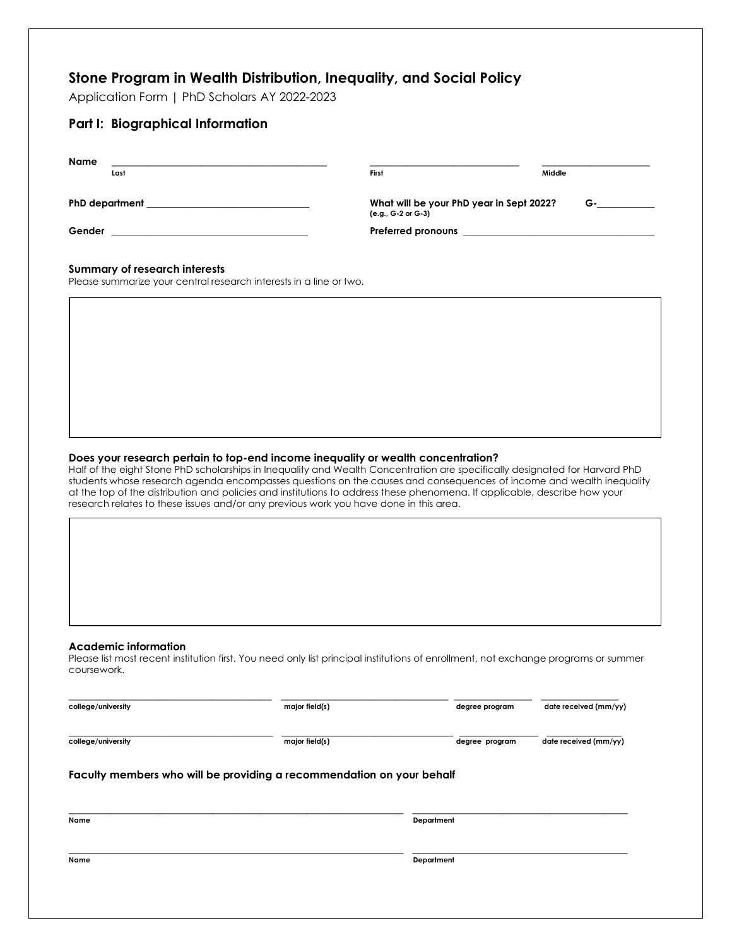# **Stone Program in Wealth Distribution, Inequality, and Social Policy**

Application Form | PhD Scholars AY 2022-2023

| <b>Part I: Biographical Information</b>                          |                                                                                     |        |
|------------------------------------------------------------------|-------------------------------------------------------------------------------------|--------|
| <b>Name</b><br><u> 2000 - Jan Barnett, mars et al. (</u><br>Last | First                                                                               | Middle |
| PhD department ___________________________________               | What will be your PhD year in Sept 2022?<br>$G \qquad \qquad$<br>(e.g., G-2 or G-3) |        |
|                                                                  |                                                                                     |        |
| Summary of research interests                                    |                                                                                     |        |

Please summarize your central research interests in a line or two.

# **Does your research pertain to top-end income inequality or wealth concentration?**

Half of the eight Stone PhD scholarships in Inequality and Wealth Concentration are specifically designated for Harvard PhD students whose research agenda encompasses questions on the causes and consequences of income and wealth inequality at the top of the distribution and policies and institutions to address these phenomena. If applicable, describe how your research relates to these issues and/or any previous work you have done in this area.

#### **Academic information**

Please list most recent institution first. You need only list principal institutions of enrollment, not exchange programs or summer coursework.

| college/university                                                    | major field(s) | degree program | date received (mm/yy) |  |  |  |  |  |
|-----------------------------------------------------------------------|----------------|----------------|-----------------------|--|--|--|--|--|
| college/university                                                    | major field(s) | degree program | date received (mm/yy) |  |  |  |  |  |
| Faculty members who will be providing a recommendation on your behalf |                |                |                       |  |  |  |  |  |
| Name                                                                  |                | Department     |                       |  |  |  |  |  |
|                                                                       |                |                |                       |  |  |  |  |  |
|                                                                       |                |                |                       |  |  |  |  |  |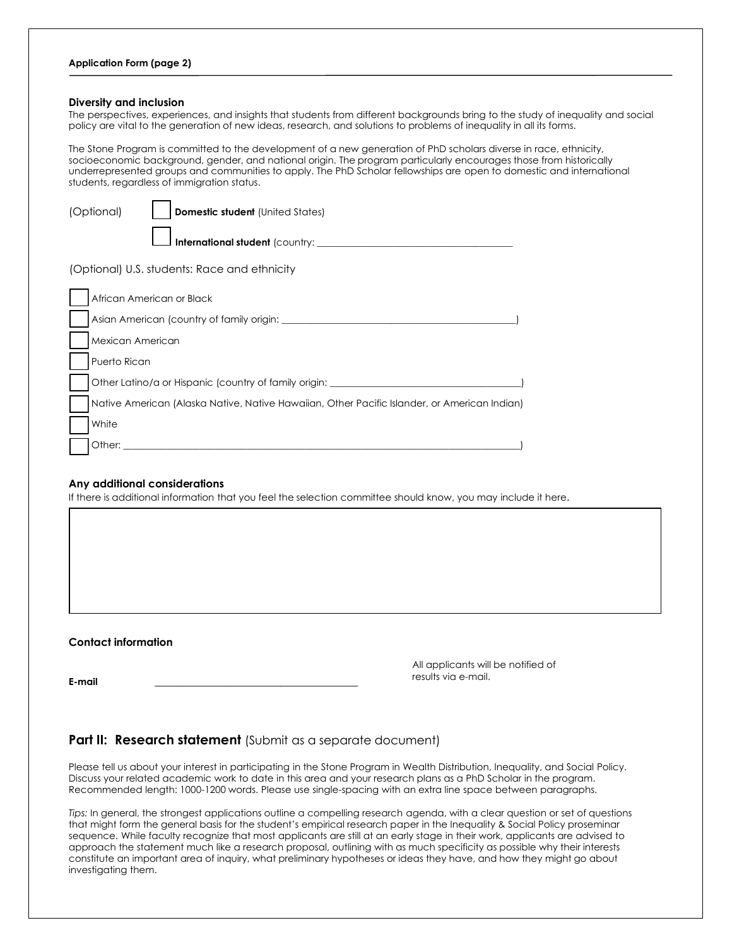### **Diversity and inclusion**

The perspectives, experiences, and insights that students from different backgrounds bring to the study of inequality and social policy are vital to the generation of new ideas, research, and solutions to problems of inequality in all its forms.

The Stone Program is committed to the development of a new generation of PhD scholars diverse in race, ethnicity, socioeconomic background, gender, and national origin. The program particularly encourages those from historically underrepresented groups and communities to apply. The PhD Scholar fellowships are open to domestic and international students, regardless of immigration status.

| (Optional)<br><b>Domestic student</b> (United States)                                        |  |  |  |  |
|----------------------------------------------------------------------------------------------|--|--|--|--|
| International student (country: _______                                                      |  |  |  |  |
| (Optional) U.S. students: Race and ethnicity                                                 |  |  |  |  |
| African American or Black                                                                    |  |  |  |  |
| Asian American (country of family origin:                                                    |  |  |  |  |
| Mexican American                                                                             |  |  |  |  |
| Puerto Rican                                                                                 |  |  |  |  |
| Other Latino/a or Hispanic (country of family origin: _______                                |  |  |  |  |
| Native American (Alaska Native, Native Hawaiian, Other Pacific Islander, or American Indian) |  |  |  |  |
| White                                                                                        |  |  |  |  |
| Other:                                                                                       |  |  |  |  |

## **Any additional considerations**

If there is additional information that you feel the selection committee should know, you may include it here.

## **Contact information**

All applicants will be notified of results via e-mail.

**E-mail \_\_\_\_\_\_\_\_\_\_\_\_\_\_\_\_\_\_\_\_\_\_\_\_\_\_\_\_\_\_\_\_\_\_** 

# **Part II: Research statement** (Submit as a separate document)

Please tell us about your interest in participating in the Stone Program in Wealth Distribution, Inequality, and Social Policy. Discuss your related academic work to date in this area and your research plans as a PhD Scholar in the program. Recommended length: 1000-1200 words. Please use single-spacing with an extra line space between paragraphs.

*Tips:* In general, the strongest applications outline a compelling research agenda, with a clear question or set of questions that might form the general basis for the student's empirical research paper in the Inequality & Social Policy proseminar sequence. While faculty recognize that most applicants are still at an early stage in their work, applicants are advised to approach the statement much like a research proposal, outlining with as much specificity as possible why their interests constitute an important area of inquiry, what preliminary hypotheses or ideas they have, and how they might go about investigating them.